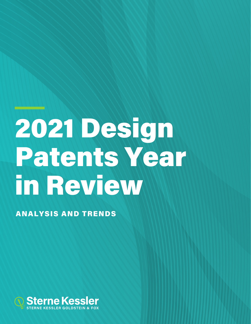# 2021 Design Patents Year in Review

ANALYSIS AND TRENDS

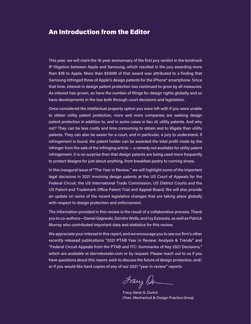## An Introduction from the Editor

This year, we will mark the 10-year anniversary of the first jury verdict in the landmark IP litigation between Apple and Samsung, which resulted in the jury awarding more than \$1B to Apple. More than \$500M of that award was attributed to a finding that Samsung infringed three of Apple's design patents for the iPhone® smartphone. Since that time, interest in design patent protection has continued to grow by all measures. As interest has grown, so have the number of filings for design rights globally and so have developments in the law both through court decisions and legislation.

Once considered the intellectual property option you were left with if you were unable to obtain utility patent protection, more and more companies are seeking design patent protection in addition to, and in some cases in lieu of, utility patents. And why not? They can be less costly and time consuming to obtain and to litigate than utility patents. They can also be easier for a court, and in particular, a jury to understand. If infringement is found, the patent holder can be awarded the total profit made by the infringer from the sale of the infringing article — a remedy not available for utility patent infringement. It is no surprise then that design patents are being used more frequently to protect designs for just about anything, from breakfast pastry to running shoes.

In this inaugural issue of "The Year in Review," we will highlight some of the important legal decisions in 2021 involving design patents at the US Court of Appeals for the Federal Circuit, the US International Trade Commission, US District Courts and the US Patent and Trademark Office Patent Trial and Appeal Board. We will also provide an update on some of the recent legislative changes that are taking place globally with respect to design protection and enforcement.

The information provided in this review is the result of a collaborative process. Thank you to co-authors—Daniel Gajewski, Deirdre Wells, and Ivy Estoesta, as well as Patrick Murray who contributed important data and statistics for this review.

We appreciate your interest in this report, and we encourage you to see our firm's other recently released publications "2021 PTAB Year in Review: Analysis & Trends" and "Federal Circuit Appeals from the PTAB and ITC: Summaries of Key 2021 Decisions," which are available at sternekessler.com or by request. Please reach out to us if you have questions about this report, wish to discuss the future of design protection, and/ or if you would like hard copies of any of our 2021 "year in review" reports.

Franz Or

 Tracy-Gene G. Durkin Chair, Mechanical & Design Practice Group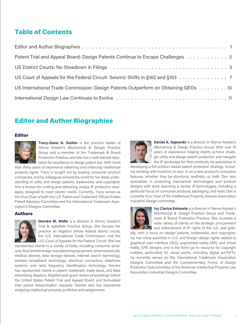## Table of Contents

| Patent Trial and Appeal Board: Design Patents Continue to Escape Challenges 2                                  |
|----------------------------------------------------------------------------------------------------------------|
|                                                                                                                |
| US Court of Appeals for the Federal Circuit: Seismic Shifts in §102 and §103 7                                 |
| US International Trade Commission: Design Patents Outperform on Obtaining GEOs 10                              |
| International Design Law Continues to Evolve (Alexandreign Alexandreign Alexandreign Alexandreign Alexandreign |

## Editor and Author Biographies

#### Editor



**Tracy-Gene G. Durkin** is the practice leader of Sterne Kessler's Mechanical & Design Practice Group and a member of the Trademark & Brand Protection Practice, and she has a well-earned reputation for excellence in design patent law. With more

than thirty years of experience obtaining and enforcing intellectual property rights, Tracy is sought out by leading consumer product companies, and by colleagues around the world for her deep understanding of utility and design patents, trademarks, and copyrights. She is known for crafting and delivering unique IP protection strategies, designed to meet clients' needs. Currently, Tracy serves as the Vice Chair of both the U.S. Patent and Trademark Office's Public Patent Advisory Committee and the International Trademark Association's Designs Committee.

#### Authors



**Deirdre M. Wells** is a director in Sterne Kessler's Trial & Appellate Practice Group. She focuses her practice on litigation before federal district courts, the U.S. International Trade Commission, and the U.S. Court of Appeals for the Federal Circuit. She has

represented clients in a variety of fields, including consumer products, food and beverage manufacturing equipment, pharmaceuticals, medical devices, data storage devices, internet search technology, wireless broadband technology, electrical connectors, telephone systems, and radio frequency identification technology. Deirdre has represented clients in patent, trademark, trade dress, and false advertising litigation, litigated post-grant review proceedings before the United States Patent Trial and Appeal Board, and formulated inter partes reexamination requests. Deirdre also has experience analyzing intellectual property portfolios and assignments



**Daniel A. Gajewski** is a director in Sterne Kessler's Mechanical & Design Practice Group. With over 10 years of experience helping clients achieve strategic utility and design patent protection and navigate the IP landscape for their products, he specializes in

developing a full product-based patent protection strategy, including working with inventors to zero in on a new product's innovative features, whether they be structural, aesthetic, or both. Dan also specializes in protecting mechanical technologies and product designs with work spanning a variety of technologies, including a particular focus on consumer products, packaging, and retail. Dan is currently Vice Chair of the Intellectual Property Owners Association Industrial Design committee.



**Ivy Clarice Estoesta** is a director in Sterne Kessler's Mechanical & Design Practice Group and Trademark & Brand Protection Practice. She counsels a wide variety of clients on the strategic procurement and enforcement of IP rights in the U.S. and glob-

ally, with a focus on design patents, trademarks, and copyrights. Ivy has niche expertise in U.S. and foreign design rights related to graphical user interface (GUI), augmented reality (AR), and virtual reality (VR) designs, and is the firm's go-to resource for copyright matters, particularly for visual works, including digital art/NFTs. Ivy currently serves on the International Trademark Association Designs Committee and the Complementary Forms of Design Protection Subcommittee of the American Intellectual Property Law Association Industrial Designs Committee.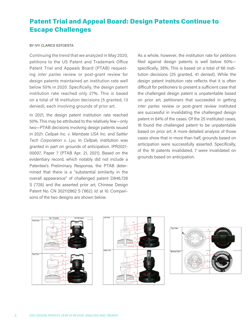## <span id="page-3-0"></span>Patent Trial and Appeal Board: Design Patents Continue to Escape Challenges

#### BY IVY CLARICE ESTOESTA

Continuing the trend that we analyzed in May 2020, petitions to the US Patent and Trademark Office Patent Trial and Appeals Board (PTAB) requesting *inter partes* review or post-grant review for design patents maintained an institution rate well below 50% in 2020. Specifically, the design patent institution rate reached only 27%. This is based on a total of 18 institution decisions (5 granted, 13 denied), each involving grounds of prior art.

In 2021, the design patent institution rate reached 50%. This may be attributed to the relatively few—only two—PTAB decisions involving design patents issued in 2021: *Cellpak Inc. v. Mambate USA Inc.* and *Sattler Tech Corporation v. Lyu.* In *Cellpak*, institution was granted in part on grounds of anticipation. IPR2021- 00007, Paper 7 (PTAB Apr. 21, 2021). Based on the evidentiary record, which notably did not include a Patentee's Preliminary Response, the PTAB determined that there is a "substantial similarity in the overall appearance" of challenged patent D846,728 S ('728) and the asserted prior art, Chinese Design Patent No. CN 302112862 S ('862). *Id*. at 10. Comparisons of the two designs are shown below.

As a whole, however, the institution rate for petitions filed against design patents is well below 50% specifically, 38%. This is based on a total of 66 institution decisions (25 granted, 41 denied). While the design patent institution rate reflects that it is often difficult for petitioners to present a sufficient case that the challenged design patent is unpatentable based on prior art, petitioners that succeeded in getting *inter partes* review or post-grant review instituted are successful in invalidating the challenged design patent in 64% of the cases. Of the 25 instituted cases, 16 found the challenged patent to be unpatentable based on prior art. A more detailed analysis of those cases show that in more than half, grounds based on anticipation were successfully asserted. Specifically, of the 16 patents invalidated, 7 were invalidated on grounds based on anticipation.





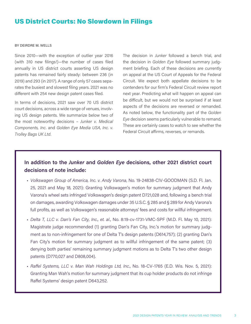## <span id="page-4-0"></span>US District Courts: No Slowdown in Filings

#### BY DEIRDRE M. WELLS

Since 2010—with the exception of outlier year 2016 (with 310 new filings!)—the number of cases filed annually in US district courts asserting US design patents has remained fairly steady: between 236 (in 2019) and 293 (in 2017). A range of only 57 cases separates the busiest and slowest filing years. 2021 was no different with 254 new design patent cases filed.

In terms of decisions, 2021 saw over 70 US district court decisions, across a wide range of venues, involving US design patents. We summarize below two of the most noteworthy decisions – *Junker v. Medical Components, Inc*. and *Golden Eye Media USA, Inc. v. Trolley Bags UK Ltd*.

The decision in *Junker* followed a bench trial, and the decision in *Golden Eye* followed summary judgment briefing. Each of these decisions are currently on appeal at the US Court of Appeals for the Federal Circuit. We expect both appellate decisions to be contenders for our firm's Federal Circuit review report next year. Predicting what will happen on appeal can be difficult, but we would not be surprised if at least aspects of the decisions are reversed or remanded. As noted below, the functionality part of the *Golden Eye* decision seems particularly vulnerable to remand. These are certainly cases to watch to see whether the Federal Circuit affirms, reverses, or remands.

## **In addition to the** *Junker* **and** *Golden Eye* **decisions, other 2021 district court decisions of note include:**

- *Volkswagen Group of America, Inc. v. Andy Varona*, No. 19-24838-CIV-GOODMAN (S.D. Fl. Jan. 25, 2021 and May 18, 2021): Granting Volkswagen's motion for summary judgment that Andy Varona's wheel sets infringed Volkswagen's design patent D721,028 and, following a bench trial on damages, awarding Volkswagen damages under 35 U.S.C. § 285 and § 289 for Andy Varona's full profits, as well as Volkswagen's reasonable attorneys' fees and costs for willful infringement.
- *Delta T, LLC v. Dan's Fan City, Inc., et. al*., No. 8:19-cv-1731-VMC-SPF (M.D. Fl. May 10, 2021): Magistrate judge recommended (1) granting Dan's Fan City, Inc.'s motion for summary judgment as to non-infringement for one of Delta T's design patents (D614,757); (2) granting Dan's Fan City's motion for summary judgment as to willful infringement of the same patent; (3) denying both parties' remaining summary judgment motions as to Delta T's two other design patents (D770,027 and D808,004).
- *Raffel Systems, LLC v. Man Wah Holdings Ltd, Inc*., No. 18-CV-1765 (E.D. Wis. Nov. 5, 2021): Granting Man Wah's motion for summary judgment that its cup holder products do not infringe Raffel Systems' design patent D643,252.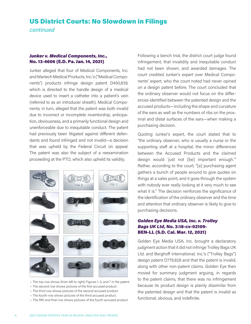## US District Courts: No Slowdown in Filings

*continued*

#### *Junker v. Medical Components, Inc.*, No. 13-4606 (E.D. Pa. Jan. 14, 2021)

Junker alleged that four of Medical Components, Inc. and Martech Medical Products, Inc.'s ("Medical Components") products infringe design patent D450,839, which is directed to the handle design of a medical device used to insert a catheter into a patient's vein (referred to as an introducer sheath). Medical Components, in turn, alleged that the patent was both invalid due to incorrect or incomplete inventorship, anticipation, obviousness, and a primarily functional design and unenforceable due to inequitable conduct. The patent had previously been litigated against different defendants and found infringed and not invalid—a decision that was upheld by the Federal Circuit on appeal. The patent was also the subject of a reexamination proceeding at the PTO, which also upheld its validity.



- The top row shows (from left to right) Figures 1, 5, and 7 in the patent.
- The second row shows pictures of the first accused product.
- The third row shows pictures of the second accused product.
- The fourth row shows pictures of the third accused product.
- The fifth and final row shows pictures of the fourth accused product.

Following a bench trial, the district court judge found infringement, that invalidity and inequitable conduct had not been shown, and awarded damages. The court credited Junker's expert over Medical Components' expert, who the court noted had never opined on a design patent before. The court concluded that the ordinary observer would not focus on the differences identified between the patented design and the accused products—including the shape and curvature of the ears as well as the numbers of ribs on the proximal and distal surfaces of the ears—when making a purchasing decision.

Quoting Junker's expert, the court stated that to "the ordinary observer, who is usually a nurse or the supporting staff at a hospital, the minor differences between the Accused Products and the claimed design would 'just not [be] important enough.'" Rather, according to the court, "[a] purchasing agent gathers a bunch of people around to give quotes on things at a sales point, and it goes through the system with nobody ever really looking at it very much to see what it is." The decision reinforces the significance of the identification of the ordinary observer and the time and attention that ordinary observer is likely to give to purchasing decisions.

#### *Golden Eye Media USA, Inc. v. Trolley Bags UK Ltd*, No. 3:18-cv-02109- BEN-LL (S.D. Cal. Mar. 12, 2021)

Golden Eye Media USA, Inc. brought a declaratory judgment action that it did not infringe Trolley Bags UK Ltd. and Berghoff International, Inc.'s ("Trolley Bags") design patent D779,828 and that the patent is invalid, along with other non-patent claims. Golden Eye then moved for summary judgment arguing, in regards to the patent claims, that there was no infringement because its product design is plainly dissimilar from the patented design and that the patent is invalid as functional, obvious, and indefinite.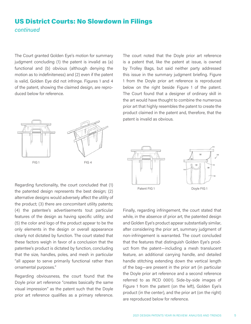## US District Courts: No Slowdown in Filings *continued*

The Court granted Golden Eye's motion for summary judgment concluding (1) the patent is invalid as (a) functional and (b) obvious (although denying the motion as to indefiniteness) and (2) even if the patent is valid, Golden Eye did not infringe. Figures 1 and 4 of the patent, showing the claimed design, are reproduced below for reference.



Regarding functionality, the court concluded that (1) the patented design represents the best design; (2) alternative designs would adversely affect the utility of the product; (3) there are concomitant utility patents; (4) the patentee's advertisements tout particular features of the design as having specific utility; and (5) the color and logo of the product appear to be the only elements in the design or overall appearance clearly not dictated by function. The court stated that these factors weigh in favor of a conclusion that the patentee's product is dictated by function, concluding that the size, handles, poles, and mesh in particular "all appear to serve primarily functional rather than ornamental purposes."

Regarding obviousness, the court found that the Doyle prior art reference "creates basically the same visual impression" as the patent such that the Doyle prior art reference qualifies as a primary reference.

The court noted that the Doyle prior art reference is a patent that, like the patent at issue, is owned by Trolley Bags, but said neither party addressed this issue in the summary judgment briefing. Figure 1 from the Doyle prior art reference is reproduced below on the right beside Figure 1 of the patent. The Court found that a designer of ordinary skill in the art would have thought to combine the numerous prior art that highly resembles the patent to create the product claimed in the patent and, therefore, that the patent is invalid as obvious.



Finally, regarding infringement, the court stated that while, in the absence of prior art, the patented design and Golden Eye's product appear substantially similar, after considering the prior art, summary judgment of non-infringement is warranted. The court concluded that the features that distinguish Golden Eye's product from the patent—including a mesh translucent feature, an additional carrying handle, and detailed handle stitching extending down the vertical length of the bag—are present in the prior art (in particular the Doyle prior art reference and a second reference referred to as RCD 0001). Side-by-side images of Figure 1 from the patent (on the left), Golden Eye's product (in the center), and the prior art (on the right) are reproduced below for reference.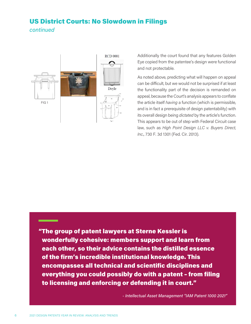## US District Courts: No Slowdown in Filings *continued*



Additionally the court found that any features Golden Eye copied from the patentee's design were functional and not protectable.

As noted above, predicting what will happen on appeal can be difficult, but we would not be surprised if at least the functionality part of the decision is remanded on appeal, because the Court's analysis appears to conflate the article itself *having* a function (which is permissible, and is in fact a prerequisite of design patentability) with its overall design being *dictated* by the article's function. This appears to be out of step with Federal Circuit case law, such as *High Point Design LLC v. Buyers Direct, Inc*., 730 F. 3d 1301 (Fed. Cir. 2013).

"The group of patent lawyers at Sterne Kessler is wonderfully cohesive: members support and learn from each other, so their advice contains the distilled essence of the firm's incredible institutional knowledge. This encompasses all technical and scientific disciplines and everything you could possibly do with a patent – from filing to licensing and enforcing or defending it in court."

*- Intellectual Asset Management "IAM Patent 1000 2021"*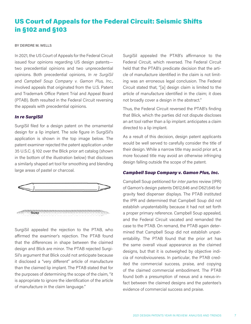## <span id="page-8-0"></span>US Court of Appeals for the Federal Circuit: Seismic Shifts in §102 and §103

#### BY DEIRDRE M. WELLS

In 2021, the US Court of Appeals for the Federal Circuit issued four opinions regarding US design patents two precedential opinions and two unprecedential opinions. Both precedential opinions, *In re SurgiSil*  and *Campbell Soup Company v. Gamon Plus, Inc*., involved appeals that originated from the U.S. Patent and Trademark Office Patent Trial and Appeal Board (PTAB). Both resulted in the Federal Circuit reversing the appeals with precedential opinions.

#### *In re SurgiSil*

SurgiSil filed for a design patent on the ornamental design for a lip implant. The sole figure in SurgiSil's application is shown in the top image below. The patent examiner rejected the patent application under 35 U.S.C. § 102 over the Blick prior art catalog (shown in the bottom of the illustration below) that discloses a similarly shaped art tool for smoothing and blending large areas of pastel or charcoal.



SurgiSil appealed the rejection to the PTAB, who affirmed the examiner's rejection. The PTAB found that the differences in shape between the claimed design and Blick are minor. The PTAB rejected Surgi-Sil's argument that Blick could not anticipate because it disclosed a "very different" article of manufacture than the claimed lip implant. The PTAB stated that for the purposes of determining the scope of the claim, "it is appropriate to ignore the identification of the article of manufacture in the claim language."

SurgiSil appealed the PTAB's affirmance to the Federal Circuit, which reversed. The Federal Circuit held that the PTAB's predicate decision that the article of manufacture identified in the claim is not limiting was an erroneous legal conclusion. The Federal Circuit stated that, "[a] design claim is limited to the article of manufacture identified in the claim; it does not broadly cover a design in the abstract."

Thus, the Federal Circuit reversed the PTAB's finding that Blick, which the parties did not dispute discloses an art tool rather than a lip implant. anticipates a claim directed to a lip implant.

As a result of this decision, design patent applicants would be well served to carefully consider the title of their design. While a narrow title may avoid prior art, a more focused title may avoid an otherwise infringing design falling outside the scope of the patent.

#### *Campbell Soup Company v. Gamon Plus, Inc.*

Campbell Soup petitioned for *inter partes* review (IPR) of Gamon's design patents D612,646 and D621,645 for gravity feed dispenser displays. The PTAB instituted the IPR and determined that Campbell Soup did not establish unpatentability because it had not set forth a proper primary reference. Campbell Soup appealed, and the Federal Circuit vacated and remanded the case to the PTAB. On remand, the PTAB again determined that Campbell Soup did not establish unpatentability. The PTAB found that the prior art has the same overall visual appearance as the claimed designs, but that it is outweighed by objective indicia of nonobviousness. In particular, the PTAB credited the commercial success, praise, and copying of the claimed commercial embodiment. The PTAB found both a presumption of nexus and a nexus-infact between the claimed designs and the patentee's evidence of commercial success and praise.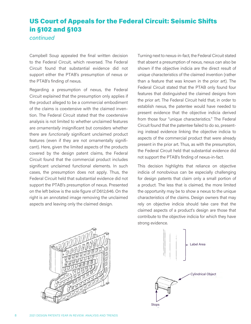## US Court of Appeals for the Federal Circuit: Seismic Shifts in §102 and §103

*continued*

Campbell Soup appealed the final written decision to the Federal Circuit, which reversed. The Federal Circuit found that substantial evidence did not support either the PTAB's presumption of nexus or the PTAB's finding of nexus.

Regarding a presumption of nexus, the Federal Circuit explained that the presumption only applies if the product alleged to be a commercial embodiment of the claims is coextensive with the claimed invention. The Federal Circuit stated that the coextensive analysis is not limited to whether unclaimed features are *ornamentally* insignificant but considers whether there are *functionally* significant unclaimed product features (even if they are not ornamentally significant). Here, given the limited aspects of the products covered by the design patent claims, the Federal Circuit found that the commercial product includes significant unclaimed functional elements. In such cases, the presumption does not apply. Thus, the Federal Circuit held that substantial evidence did not support the PTAB's presumption of nexus. Presented on the left below is the sole figure of D612,646. On the right is an annotated image removing the unclaimed aspects and leaving only the claimed design.

Turning next to nexus-in-fact, the Federal Circuit stated that absent a presumption of nexus, nexus can also be shown if the objective indicia are the direct result of unique characteristics of the claimed invention (rather than a feature that was known in the prior art). The Federal Circuit stated that the PTAB only found four features that distinguished the claimed designs from the prior art. The Federal Circuit held that, in order to establish nexus, the patentee would have needed to present evidence that the objective indicia derived from those four "unique characteristics." The Federal Circuit found that the patentee failed to do so, presenting instead evidence linking the objective indicia to aspects of the commercial product that were already present in the prior art. Thus, as with the presumption, the Federal Circuit held that substantial evidence did not support the PTAB's finding of nexus-in-fact.

This decision highlights that reliance on objective indicia of nonobvious can be especially challenging for design patents that claim only a small portion of a product. The less that is claimed, the more limited the opportunity may be to show a nexus to the unique characteristics of the claims. Design owners that may rely on objective indicia should take care that the claimed aspects of a product's design are those that contribute to the objective indicia for which they have strong evidence.



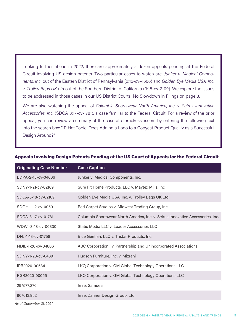Looking further ahead in 2022, there are approximately a dozen appeals pending at the Federal Circuit involving US design patents. Two particular cases to watch are: *Junker v. Medical Components, Inc.* out of the Eastern District of Pennsylvania (2:13-cv-4606) and *Golden Eye Media USA, Inc. v. Trolley Bags UK Ltd* out of the Southern District of California (3:18-cv-2109). We explore the issues to be addressed in those cases in our US District Courts: No Slowdown in Filings on page 3.

We are also watching the appeal of *Columbia Sportswear North America, Inc. v. Seirus Innovative Accessories, Inc.* (SDCA 3:17-cv-1781), a case familiar to the Federal Circuit. For a review of the prior appeal, you can review a summary of the case at sternekessler.com by entering the following text into the search box: "IP Hot Topic: Does Adding a Logo to a Copycat Product Qualify as a Successful Design Around?"

| <b>Originating Case Number</b> | <b>Case Caption</b>                                                            |
|--------------------------------|--------------------------------------------------------------------------------|
| EDPA-2-13-cv-04606             | Junker v. Medical Components, Inc.                                             |
| SDNY-1-21-cv-02169             | Sure Fit Home Products, LLC v. Maytex Mills, Inc                               |
| SDCA-3-18-cv-02109             | Golden Eye Media USA, Inc. v. Trolley Bags UK Ltd                              |
| SDOH-1-12-cv-00501             | Red Carpet Studios v. Midwest Trading Group, Inc.                              |
| SDCA-3-17-cv-01781             | Columbia Sportswear North America, Inc. v. Seirus Innovative Accessories, Inc. |
| WDWI-3-18-cv-00330             | Static Media LLC v. Leader Accessories LLC                                     |
| DNJ-1-13-cv-01758              | Blue Gentian, LLC v. Tristar Products, Inc.                                    |
| NDIL-1-20-cv-04806             | ABC Corporation I v. Partnership and Unincorporated Associations               |
| SDNY-1-20-cv-04891             | Hudson Furniture, Inc. v. Mizrahi                                              |
| IPR2020-00534                  | LKQ Corporation v. GM Global Technology Operations LLC                         |
| PGR2020-00055                  | LKQ Corporation v. GM Global Technology Operations LLC                         |
| 29/577,270                     | In re: Samuels                                                                 |
| 90/013,952                     | In re: Zahner Design Group, Ltd.                                               |

#### Appeals Involving Design Patents Pending at the US Court of Appeals for the Federal Circuit

*As of December 31, 2021*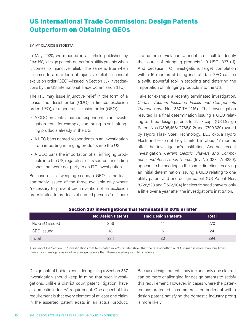## <span id="page-11-0"></span>US International Trade Commission: Design Patents Outperform on Obtaining GEOs

#### BY IVY CLARICE ESTOESTA

In May 2020, we reported in an article published by *Law360*, "design patents outperform utility patents when it comes to injunctive relief." The same is true when it comes to a rare form of injunctive relief—a general exclusion order (GEO)—issued in Section 337 investigations by the US International Trade Commission (ITC).

The ITC may issue injunctive relief in the form of a cease and desist order (CDO), a limited exclusion order (LEO), or a general exclusion order (GEO).

- A CDO prevents a named respondent in an investigation from, for example, continuing to sell infringing products already in the US.
- A LEO bans named respondents in an investigation from importing infringing products into the US.
- A GEO bans the importation of all infringing products into the US, regardless of its source—including ones that were not party to an ITC investigation.

Because of its sweeping scope, a GEO is the least commonly issued of the three, available only where "necessary to prevent circumvention of an exclusion order limited to products of named persons," or "there is a pattern of violation … and it is difficult to identify the source of infringing products." 19 USC 1337 (d). And because ITC investigations target completion within 16 months of being instituted, a GEO can be a swift, powerful tool in stopping and deterring the importation of infringing products into the US.

Take for example a recently terminated investigation, *Certain Vacuum Insulated Flasks and Components Thereof* (Inv. No. 337-TA-1216). That investigation resulted in a final determination issuing a GEO relating to three design patents for flask caps (US Design Patent Nos. D806,468; D786,012; and D799,320) owned by Hydro Flask Steel Technology, LLC d/b/a Hydro Flask and Helen of Troy Limited, in about 17 months after the investigation's institution. Another recent investigation, *Certain Electric Shavers and Components and Accessories Thereof* (Inv. No. 337-TA-4230), appears to be heading in the same direction, receiving an initial determination issuing a GEO relating to one utility patent and one design patent (US Patent Nos. 8,726,528 and D672,504) for electric head shavers, only a little over a year after the investigation's institution.

|               | <b>No Design Patents</b> | <b>Had Design Patents</b> | Total |  |  |
|---------------|--------------------------|---------------------------|-------|--|--|
| No GEO issued | 256                      | 14                        | 270   |  |  |
| GEO issued    | 18                       | h                         | 24    |  |  |
| Total         | 274                      | 20                        | 294   |  |  |

#### Section 337 investigations that terminated in 2015 or later

A survey of the Section 337 investigations that terminated in 2015 or later show that the rate of getting a GEO issued is more than four times greater for investigations involving design patents than those asserting just utility patents.

Design patent holders considering filing a Section 337 investigation should keep in mind that such investigations, unlike a district court patent litigation, have a "domestic industry" requirement. One aspect of this requirement is that every element of at least one claim in the asserted patent exists in an actual product.

Because design patents may include only one claim, it can be more challenging for design patents to satisfy this requirement. However, in cases where the patentee has protected its commercial embodiment with a design patent, satisfying the domestic industry prong is more likely.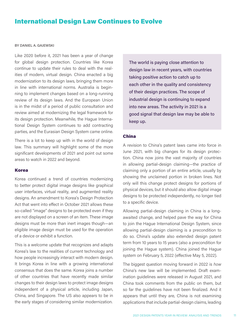## <span id="page-12-0"></span>International Design Law Continues to Evolve

#### BY DANIEL A. GAJEWSKI

Like 2020 before it, 2021 has been a year of change for global design protection. Countries like Korea continue to update their rules to deal with the realities of modern, virtual design. China enacted a big modernization to its design laws, bringing them more in line with international norms. Australia is beginning to implement changes based on a long-running review of its design laws. And the European Union is in the midst of a period of public consultation and review aimed at modernizing the legal framework for its design protection. Meanwhile, the Hague International Design System continues to add contracting parties, and the Eurasian Design System came online.

There is a lot to keep up with in the world of design law. This summary will highlight some of the more significant developments of 2021 and point out some areas to watch in 2022 and beyond.

#### Korea

Korea continued a trend of countries modernizing to better protect digital image designs like graphical user interfaces, virtual reality, and augmented reality designs. An amendment to Korea's Design Protection Act that went into effect in October 2021 allows these so-called "image" designs to be protected even if they are not displayed on a screen of an item. These image designs must be more than inert images though—an eligible image design must be used for the operation of a device or exhibit a function.

This is a welcome update that recognizes and adapts Korea's law to the realities of current technology and how people increasingly interact with modern design. It brings Korea in line with a growing international consensus that does the same. Korea joins a number of other countries that have recently made similar changes to their design laws to protect image designs independent of a physical article, including Japan, China, and Singapore. The US also appears to be in the early stages of considering similar modernization.

The world is paying close attention to design law in recent years, with countries taking positive action to catch up to each other in the quality and consistency of their design practices. The scope of industrial design is continuing to expand into new areas. The activity in 2021 is a good signal that design law may be able to keep up.

#### China

A revision to China's patent laws came into force in June 2021, with big changes for its design protection. China now joins the vast majority of countries in allowing partial-design claiming—the practice of claiming only a portion of an entire article, usually by showing the unclaimed portion in broken lines. Not only will this change protect designs for portions of physical devices, but it should also allow digital image designs to be protected independently, no longer tied to a specific device.

Allowing partial-design claiming in China is a longawaited change, and helped pave the way for China to join the Hague International Design System, since allowing partial-design claiming is a precondition to do so. China's update also extended design patent term from 10 years to 15 years (also a precondition for joining the Hague system). China joined the Hague system on February 5, 2022 (effective May 5, 2022).

The biggest question moving forward in 2022 is *how*  China's new law will be implemented. Draft examination guidelines were released in August 2021, and China took comments from the public on them, but so far the guidelines have not been finalized. And it appears that until they are, China is not examining applications that include partial-design claims, leading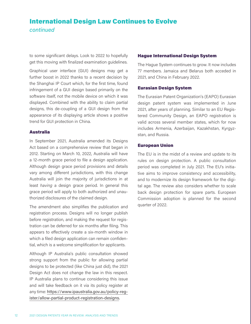## International Design Law Continues to Evolve *continued*

to some significant delays. Look to 2022 to hopefully get this moving with finalized examination guidelines.

Graphical user interface (GUI) designs may get a further boost in 2022 thanks to a recent decision by the Shanghai IP Court which, for the first time, found infringement of a GUI design based primarily on the software itself, not the mobile device on which it was displayed. Combined with the ability to claim partial designs, this de-coupling of a GUI design from the appearance of its displaying article shows a positive trend for GUI protection in China.

#### Australia

In September 2021, Australia amended its Designs Act based on a comprehensive review that began in 2012. Starting on March 10, 2022, Australia will have a 12-month grace period to file a design application. Although design grace period provisions and details vary among different jurisdictions, with this change Australia will join the majority of jurisdictions in at least *having* a design grace period. In general this grace period will apply to both authorized and unauthorized disclosures of the claimed design.

The amendment also simplifies the publication and registration process. Designs will no longer publish before registration, and making the request for registration can be deferred for six months after filing. This appears to effectively create a six-month window in which a filed design application can remain confidential, which is a welcome simplification for applicants.

Although IP Australia's public consultation showed strong support from the public for allowing partial designs to be protected (like China just did), the 2021 Design Act does not change the law in this respect. IP Australia plans to continue considering this issue and will take feedback on it via its policy register at any time: [https://www.ipaustralia.gov.au/policy-reg](https://www.ipaustralia.gov.au/policy-register/allow-partial-product-registration-designs)[ister/allow-partial-product-registration-designs.](https://www.ipaustralia.gov.au/policy-register/allow-partial-product-registration-designs)

#### Hague International Design System

The Hague System continues to grow. It now includes 77 members. Jamaica and Belarus both acceded in 2021, and China in February 2022.

#### Eurasian Design System

The Eurasian Patent Organization's (EAPO) Eurasian design patent system was implemented in June 2021, after years of planning. Similar to an EU Registered Community Design, an EAPO registration is valid across several member states, which for now includes Armenia, Azerbaijan, Kazakhstan, Kyrgyzstan, and Russia.

#### European Union

The EU is in the midst of a review and update to its rules on design protection. A public consultation period was completed in July 2021. The EU's initiative aims to improve consistency and accessibility, and to modernize its design framework for the digital age. The review also considers whether to scale back design protection for spare parts. European Commission adoption is planned for the second quarter of 2022.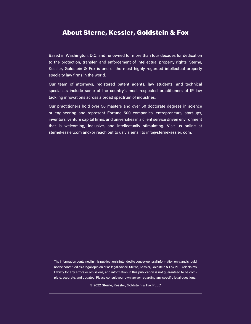### About Sterne, Kessler, Goldstein & Fox

Based in Washington, D.C. and renowned for more than four decades for dedication to the protection, transfer, and enforcement of intellectual property rights, Sterne, Kessler, Goldstein & Fox is one of the most highly regarded intellectual property specialty law firms in the world.

Our team of attorneys, registered patent agents, law students, and technical specialists include some of the country's most respected practitioners of IP law tackling innovations across a broad spectrum of industries.

Our practitioners hold over 50 masters and over 50 doctorate degrees in science or engineering and represent Fortune 500 companies, entrepreneurs, start-ups, inventors, venture capital firms, and universities in a client service driven environment that is welcoming, inclusive, and intellectually stimulating. Visit us online at sternekessler.com and/or reach out to us via email to info@sternekessler. com.

The information contained in this publication is intended to convey general information only, and should not be construed as a legal opinion or as legal advice. Sterne, Kessler, Goldstein & Fox PLLC disclaims liability for any errors or omissions, and information in this publication is not guaranteed to be complete, accurate, and updated. Please consult your own lawyer regarding any specific legal questions.

© 2022 Sterne, Kessler, Goldstein & Fox PLLC